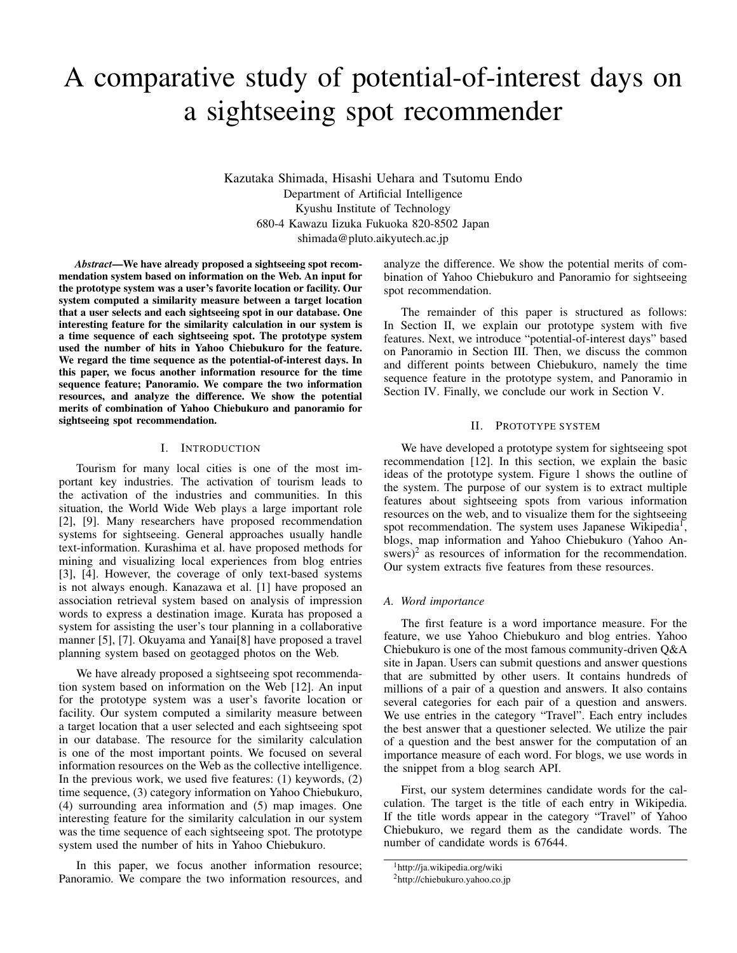# A comparative study of potential-of-interest days on a sightseeing spot recommender

Kazutaka Shimada, Hisashi Uehara and Tsutomu Endo Department of Artificial Intelligence Kyushu Institute of Technology 680-4 Kawazu Iizuka Fukuoka 820-8502 Japan shimada@pluto.aikyutech.ac.jp

*Abstract*—We have already proposed a sightseeing spot recommendation system based on information on the Web. An input for the prototype system was a user's favorite location or facility. Our system computed a similarity measure between a target location that a user selects and each sightseeing spot in our database. One interesting feature for the similarity calculation in our system is a time sequence of each sightseeing spot. The prototype system used the number of hits in Yahoo Chiebukuro for the feature. We regard the time sequence as the potential-of-interest days. In this paper, we focus another information resource for the time sequence feature; Panoramio. We compare the two information resources, and analyze the difference. We show the potential merits of combination of Yahoo Chiebukuro and panoramio for sightseeing spot recommendation.

#### I. INTRODUCTION

Tourism for many local cities is one of the most important key industries. The activation of tourism leads to the activation of the industries and communities. In this situation, the World Wide Web plays a large important role [2], [9]. Many researchers have proposed recommendation systems for sightseeing. General approaches usually handle text-information. Kurashima et al. have proposed methods for mining and visualizing local experiences from blog entries [3], [4]. However, the coverage of only text-based systems is not always enough. Kanazawa et al. [1] have proposed an association retrieval system based on analysis of impression words to express a destination image. Kurata has proposed a system for assisting the user's tour planning in a collaborative manner [5], [7]. Okuyama and Yanai[8] have proposed a travel planning system based on geotagged photos on the Web.

We have already proposed a sightseeing spot recommendation system based on information on the Web [12]. An input for the prototype system was a user's favorite location or facility. Our system computed a similarity measure between a target location that a user selected and each sightseeing spot in our database. The resource for the similarity calculation is one of the most important points. We focused on several information resources on the Web as the collective intelligence. In the previous work, we used five features: (1) keywords, (2) time sequence, (3) category information on Yahoo Chiebukuro, (4) surrounding area information and (5) map images. One interesting feature for the similarity calculation in our system was the time sequence of each sightseeing spot. The prototype system used the number of hits in Yahoo Chiebukuro.

In this paper, we focus another information resource; Panoramio. We compare the two information resources, and analyze the difference. We show the potential merits of combination of Yahoo Chiebukuro and Panoramio for sightseeing spot recommendation.

The remainder of this paper is structured as follows: In Section II, we explain our prototype system with five features. Next, we introduce "potential-of-interest days" based on Panoramio in Section III. Then, we discuss the common and different points between Chiebukuro, namely the time sequence feature in the prototype system, and Panoramio in Section IV. Finally, we conclude our work in Section V.

## II. PROTOTYPE SYSTEM

We have developed a prototype system for sightseeing spot recommendation [12]. In this section, we explain the basic ideas of the prototype system. Figure 1 shows the outline of the system. The purpose of our system is to extract multiple features about sightseeing spots from various information resources on the web, and to visualize them for the sightseeing spot recommendation. The system uses Japanese Wikipedia<sup>1</sup>, blogs, map information and Yahoo Chiebukuro (Yahoo An $swers)^2$  as resources of information for the recommendation. Our system extracts five features from these resources.

## *A. Word importance*

The first feature is a word importance measure. For the feature, we use Yahoo Chiebukuro and blog entries. Yahoo Chiebukuro is one of the most famous community-driven Q&A site in Japan. Users can submit questions and answer questions that are submitted by other users. It contains hundreds of millions of a pair of a question and answers. It also contains several categories for each pair of a question and answers. We use entries in the category "Travel". Each entry includes the best answer that a questioner selected. We utilize the pair of a question and the best answer for the computation of an importance measure of each word. For blogs, we use words in the snippet from a blog search API.

First, our system determines candidate words for the calculation. The target is the title of each entry in Wikipedia. If the title words appear in the category "Travel" of Yahoo Chiebukuro, we regard them as the candidate words. The number of candidate words is 67644.

<sup>1</sup>http://ja.wikipedia.org/wiki

<sup>2</sup>http://chiebukuro.yahoo.co.jp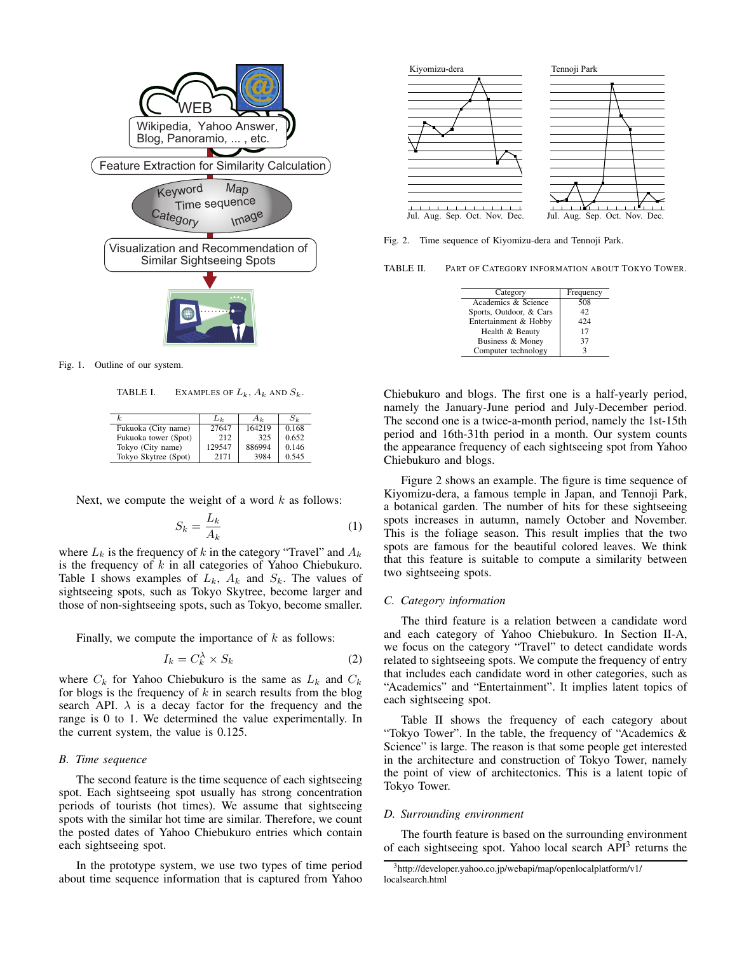

Fig. 1. Outline of our system.

TABLE I. EXAMPLES OF  $L_k$ ,  $A_k$  AND  $S_k$ .

| k.                   | $L_k$  | $A_k$  |       |
|----------------------|--------|--------|-------|
| Fukuoka (City name)  | 27647  | 164219 | 0.168 |
| Fukuoka tower (Spot) | 212    | 325    | 0.652 |
| Tokyo (City name)    | 129547 | 886994 | 0.146 |
| Tokyo Skytree (Spot) | 2171   | 3984   | 0.545 |

Next, we compute the weight of a word *k* as follows:

$$
S_k = \frac{L_k}{A_k} \tag{1}
$$

where  $L_k$  is the frequency of  $k$  in the category "Travel" and  $A_k$ is the frequency of *k* in all categories of Yahoo Chiebukuro. Table I shows examples of  $L_k$ ,  $A_k$  and  $S_k$ . The values of sightseeing spots, such as Tokyo Skytree, become larger and those of non-sightseeing spots, such as Tokyo, become smaller.

Finally, we compute the importance of *k* as follows:

$$
I_k = C_k^{\lambda} \times S_k \tag{2}
$$

where  $C_k$  for Yahoo Chiebukuro is the same as  $L_k$  and  $C_k$ for blogs is the frequency of *k* in search results from the blog search API.  $\lambda$  is a decay factor for the frequency and the range is 0 to 1. We determined the value experimentally. In the current system, the value is 0.125.

#### *B. Time sequence*

The second feature is the time sequence of each sightseeing spot. Each sightseeing spot usually has strong concentration periods of tourists (hot times). We assume that sightseeing spots with the similar hot time are similar. Therefore, we count the posted dates of Yahoo Chiebukuro entries which contain each sightseeing spot.

In the prototype system, we use two types of time period about time sequence information that is captured from Yahoo



Fig. 2. Time sequence of Kiyomizu-dera and Tennoji Park.

TABLE II. PART OF CATEGORY INFORMATION ABOUT TOKYO TOWER.

| Category                | Frequency |  |
|-------------------------|-----------|--|
| Academics & Science     | 508       |  |
| Sports, Outdoor, & Cars | 42        |  |
| Entertainment & Hobby   | 424       |  |
| Health & Beauty         | 17        |  |
| Business & Money        | 37        |  |
| Computer technology     |           |  |

Chiebukuro and blogs. The first one is a half-yearly period, namely the January-June period and July-December period. The second one is a twice-a-month period, namely the 1st-15th period and 16th-31th period in a month. Our system counts the appearance frequency of each sightseeing spot from Yahoo Chiebukuro and blogs.

Figure 2 shows an example. The figure is time sequence of Kiyomizu-dera, a famous temple in Japan, and Tennoji Park, a botanical garden. The number of hits for these sightseeing spots increases in autumn, namely October and November. This is the foliage season. This result implies that the two spots are famous for the beautiful colored leaves. We think that this feature is suitable to compute a similarity between two sightseeing spots.

## *C. Category information*

The third feature is a relation between a candidate word and each category of Yahoo Chiebukuro. In Section II-A, we focus on the category "Travel" to detect candidate words related to sightseeing spots. We compute the frequency of entry that includes each candidate word in other categories, such as "Academics" and "Entertainment". It implies latent topics of each sightseeing spot.

Table II shows the frequency of each category about "Tokyo Tower". In the table, the frequency of "Academics & Science" is large. The reason is that some people get interested in the architecture and construction of Tokyo Tower, namely the point of view of architectonics. This is a latent topic of Tokyo Tower.

#### *D. Surrounding environment*

The fourth feature is based on the surrounding environment of each sightseeing spot. Yahoo local search API<sup>3</sup> returns the

<sup>3</sup>http://developer.yahoo.co.jp/webapi/map/openlocalplatform/v1/ localsearch.html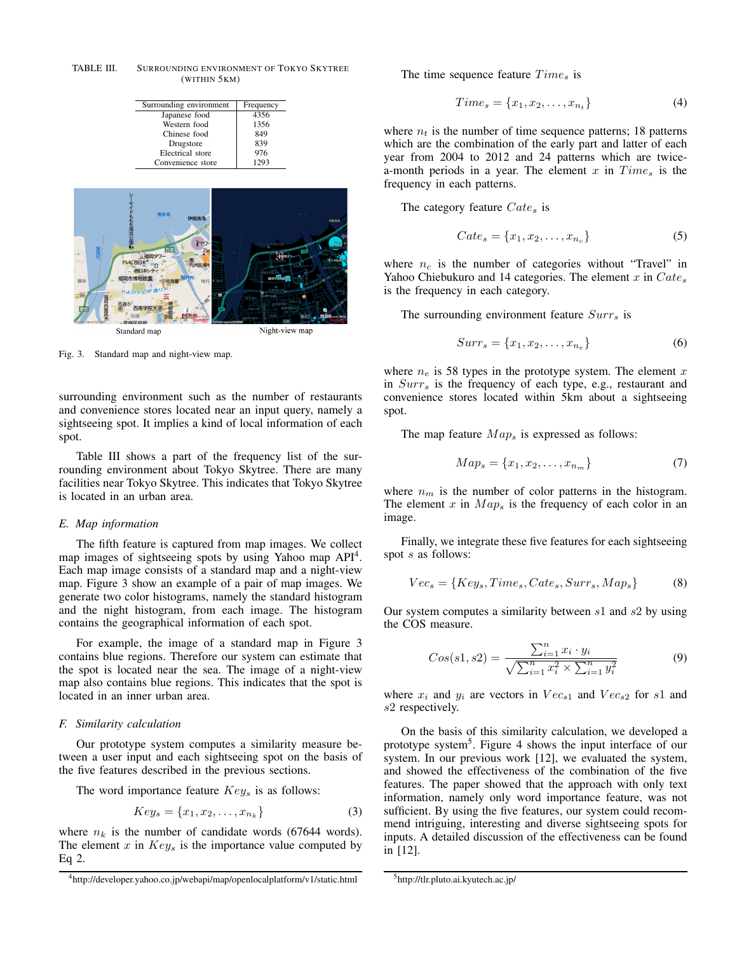TABLE III. SURROUNDING ENVIRONMENT OF TOKYO SKYTREE (WITHIN 5KM)





Fig. 3. Standard map and night-view map.

surrounding environment such as the number of restaurants and convenience stores located near an input query, namely a sightseeing spot. It implies a kind of local information of each spot.

Table III shows a part of the frequency list of the surrounding environment about Tokyo Skytree. There are many facilities near Tokyo Skytree. This indicates that Tokyo Skytree is located in an urban area.

## *E. Map information*

The fifth feature is captured from map images. We collect map images of sightseeing spots by using Yahoo map API<sup>4</sup>. Each map image consists of a standard map and a night-view map. Figure 3 show an example of a pair of map images. We generate two color histograms, namely the standard histogram and the night histogram, from each image. The histogram contains the geographical information of each spot.

For example, the image of a standard map in Figure 3 contains blue regions. Therefore our system can estimate that the spot is located near the sea. The image of a night-view map also contains blue regions. This indicates that the spot is located in an inner urban area.

## *F. Similarity calculation*

Our prototype system computes a similarity measure between a user input and each sightseeing spot on the basis of the five features described in the previous sections.

The word importance feature *Key<sup>s</sup>* is as follows:

$$
Key_s = \{x_1, x_2, \dots, x_{n_k}\}\tag{3}
$$

where  $n_k$  is the number of candidate words (67644 words). The element  $x$  in  $Key<sub>s</sub>$  is the importance value computed by Eq 2.

The time sequence feature *T ime<sup>s</sup>* is

$$
Time_s = \{x_1, x_2, \dots, x_{n_t}\}\tag{4}
$$

where  $n_t$  is the number of time sequence patterns; 18 patterns which are the combination of the early part and latter of each year from 2004 to 2012 and 24 patterns which are twicea-month periods in a year. The element *x* in *T ime<sup>s</sup>* is the frequency in each patterns.

The category feature *Cate<sup>s</sup>* is

$$
Cate_s = \{x_1, x_2, \dots, x_{n_c}\}\tag{5}
$$

where  $n_c$  is the number of categories without "Travel" in Yahoo Chiebukuro and 14 categories. The element *x* in *Cate<sup>s</sup>* is the frequency in each category.

The surrounding environment feature *Surr<sup>s</sup>* is

$$
Surr_s = \{x_1, x_2, \dots, x_{n_e}\}\tag{6}
$$

where  $n_e$  is 58 types in the prototype system. The element  $x$ in *Surr<sup>s</sup>* is the frequency of each type, e.g., restaurant and convenience stores located within 5km about a sightseeing spot.

The map feature *M ap<sup>s</sup>* is expressed as follows:

$$
Map_s = \{x_1, x_2, \dots, x_{n_m}\}\tag{7}
$$

where  $n_m$  is the number of color patterns in the histogram. The element  $x$  in  $Map<sub>s</sub>$  is the frequency of each color in an image.

Finally, we integrate these five features for each sightseeing spot *s* as follows:

$$
Vec_s = \{Key_s, Time_s, Cate_s, Surr_s, Map_s\}
$$
 (8)

Our system computes a similarity between *s*1 and *s*2 by using the COS measure.

$$
Cos(s1, s2) = \frac{\sum_{i=1}^{n} x_i \cdot y_i}{\sqrt{\sum_{i=1}^{n} x_i^2 \times \sum_{i=1}^{n} y_i^2}}
$$
(9)

where  $x_i$  and  $y_i$  are vectors in  $Vec_{s1}$  and  $Vec_{s2}$  for  $s1$  and *s*2 respectively.

On the basis of this similarity calculation, we developed a prototype system<sup>5</sup>. Figure 4 shows the input interface of our system. In our previous work [12], we evaluated the system, and showed the effectiveness of the combination of the five features. The paper showed that the approach with only text information, namely only word importance feature, was not sufficient. By using the five features, our system could recommend intriguing, interesting and diverse sightseeing spots for inputs. A detailed discussion of the effectiveness can be found in [12].

<sup>4</sup>http://developer.yahoo.co.jp/webapi/map/openlocalplatform/v1/static.html

<sup>5</sup>http://tlr.pluto.ai.kyutech.ac.jp/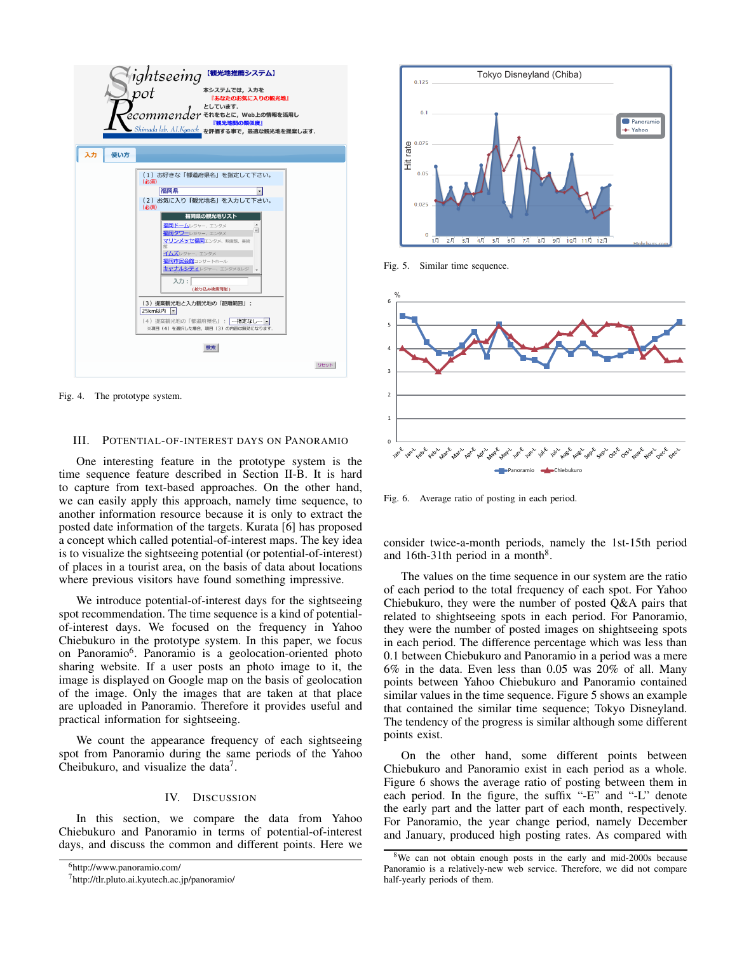

Fig. 4. The prototype system.

#### III. POTENTIAL-OF-INTEREST DAYS ON PANORAMIO

One interesting feature in the prototype system is the time sequence feature described in Section II-B. It is hard to capture from text-based approaches. On the other hand, we can easily apply this approach, namely time sequence, to another information resource because it is only to extract the posted date information of the targets. Kurata [6] has proposed a concept which called potential-of-interest maps. The key idea is to visualize the sightseeing potential (or potential-of-interest) of places in a tourist area, on the basis of data about locations where previous visitors have found something impressive.

We introduce potential-of-interest days for the sightseeing spot recommendation. The time sequence is a kind of potentialof-interest days. We focused on the frequency in Yahoo Chiebukuro in the prototype system. In this paper, we focus on Panoramio<sup>6</sup>. Panoramio is a geolocation-oriented photo sharing website. If a user posts an photo image to it, the image is displayed on Google map on the basis of geolocation of the image. Only the images that are taken at that place are uploaded in Panoramio. Therefore it provides useful and practical information for sightseeing.

We count the appearance frequency of each sightseeing spot from Panoramio during the same periods of the Yahoo Cheibukuro, and visualize the data<sup>7</sup>.

## IV. DISCUSSION

In this section, we compare the data from Yahoo Chiebukuro and Panoramio in terms of potential-of-interest days, and discuss the common and different points. Here we



Fig. 5. Similar time sequence.



Fig. 6. Average ratio of posting in each period.

consider twice-a-month periods, namely the 1st-15th period and 16th-31th period in a month<sup>8</sup>.

The values on the time sequence in our system are the ratio of each period to the total frequency of each spot. For Yahoo Chiebukuro, they were the number of posted Q&A pairs that related to shightseeing spots in each period. For Panoramio, they were the number of posted images on shightseeing spots in each period. The difference percentage which was less than 0.1 between Chiebukuro and Panoramio in a period was a mere 6% in the data. Even less than 0.05 was 20% of all. Many points between Yahoo Chiebukuro and Panoramio contained similar values in the time sequence. Figure 5 shows an example that contained the similar time sequence; Tokyo Disneyland. The tendency of the progress is similar although some different points exist.

On the other hand, some different points between Chiebukuro and Panoramio exist in each period as a whole. Figure 6 shows the average ratio of posting between them in each period. In the figure, the suffix "-E" and "-L" denote the early part and the latter part of each month, respectively. For Panoramio, the year change period, namely December and January, produced high posting rates. As compared with

<sup>6</sup>http://www.panoramio.com/

<sup>7</sup>http://tlr.pluto.ai.kyutech.ac.jp/panoramio/

<sup>8</sup>We can not obtain enough posts in the early and mid-2000s because Panoramio is a relatively-new web service. Therefore, we did not compare half-yearly periods of them.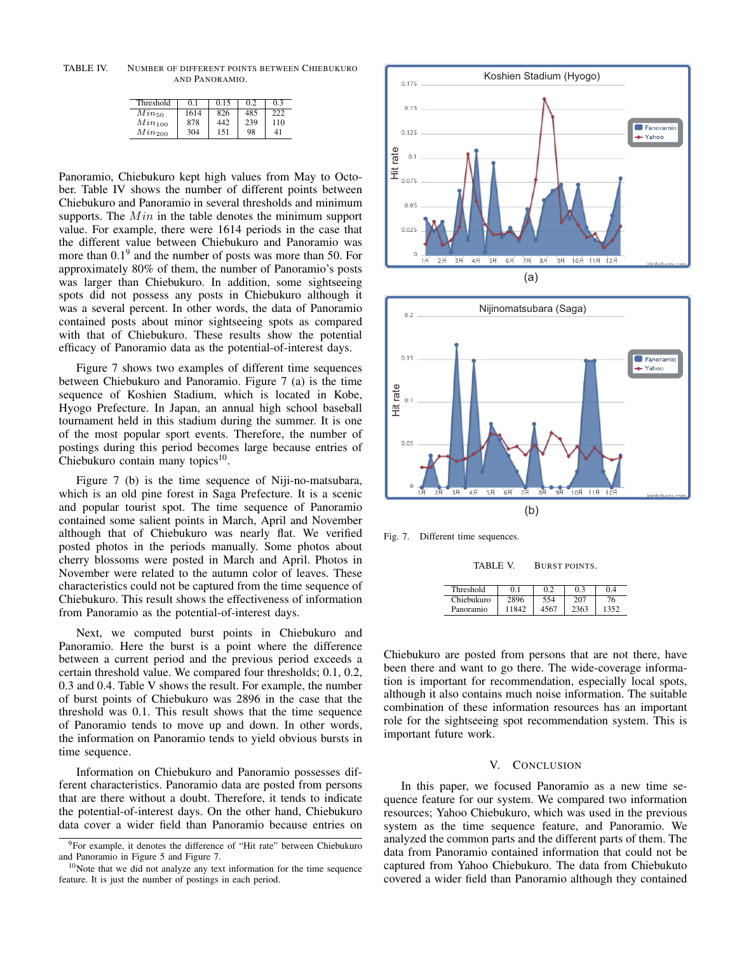TABLE IV. NUMBER OF DIFFERENT POINTS BETWEEN CHIEBUKURO AND PANORAMIO.

| Threshold   | 01   | 0.15 | 0.2 | 0.3 |
|-------------|------|------|-----|-----|
| $Min_{50}$  | 1614 | 826  | 485 |     |
| $Min_{100}$ | 878  | 442  | 239 | 110 |
| $Min_{200}$ | 304  | 151  | 98  | 41  |

Panoramio, Chiebukuro kept high values from May to October. Table IV shows the number of different points between Chiebukuro and Panoramio in several thresholds and minimum supports. The *Min* in the table denotes the minimum support value. For example, there were 1614 periods in the case that the different value between Chiebukuro and Panoramio was more than  $0.1<sup>9</sup>$  and the number of posts was more than 50. For approximately 80% of them, the number of Panoramio's posts was larger than Chiebukuro. In addition, some sightseeing spots did not possess any posts in Chiebukuro although it was a several percent. In other words, the data of Panoramio contained posts about minor sightseeing spots as compared with that of Chiebukuro. These results show the potential efficacy of Panoramio data as the potential-of-interest days.

Figure 7 shows two examples of different time sequences between Chiebukuro and Panoramio. Figure 7 (a) is the time sequence of Koshien Stadium, which is located in Kobe, Hyogo Prefecture. In Japan, an annual high school baseball tournament held in this stadium during the summer. It is one of the most popular sport events. Therefore, the number of postings during this period becomes large because entries of Chiebukuro contain many topics<sup>10</sup>.

Figure 7 (b) is the time sequence of Niji-no-matsubara, which is an old pine forest in Saga Prefecture. It is a scenic and popular tourist spot. The time sequence of Panoramio contained some salient points in March, April and November although that of Chiebukuro was nearly flat. We verified posted photos in the periods manually. Some photos about cherry blossoms were posted in March and April. Photos in November were related to the autumn color of leaves. These characteristics could not be captured from the time sequence of Chiebukuro. This result shows the effectiveness of information from Panoramio as the potential-of-interest days.

Next, we computed burst points in Chiebukuro and Panoramio. Here the burst is a point where the difference between a current period and the previous period exceeds a certain threshold value. We compared four thresholds; 0.1, 0.2, 0.3 and 0.4. Table V shows the result. For example, the number of burst points of Chiebukuro was 2896 in the case that the threshold was 0.1. This result shows that the time sequence of Panoramio tends to move up and down. In other words, the information on Panoramio tends to yield obvious bursts in time sequence.

Information on Chiebukuro and Panoramio possesses different characteristics. Panoramio data are posted from persons that are there without a doubt. Therefore, it tends to indicate the potential-of-interest days. On the other hand, Chiebukuro data cover a wider field than Panoramio because entries on





Fig. 7. Different time sequences.

TABLE V. BURST POINTS.

| Threshold  |  | 0.1 |          |
|------------|--|-----|----------|
| Chiebukuro |  |     | $\sigma$ |
| Panoramio  |  |     |          |

Chiebukuro are posted from persons that are not there, have been there and want to go there. The wide-coverage information is important for recommendation, especially local spots, although it also contains much noise information. The suitable combination of these information resources has an important role for the sightseeing spot recommendation system. This is important future work.

#### V. CONCLUSION

In this paper, we focused Panoramio as a new time sequence feature for our system. We compared two information resources; Yahoo Chiebukuro, which was used in the previous system as the time sequence feature, and Panoramio. We analyzed the common parts and the different parts of them. The data from Panoramio contained information that could not be captured from Yahoo Chiebukuro. The data from Chiebukuto covered a wider field than Panoramio although they contained

<sup>&</sup>lt;sup>9</sup>For example, it denotes the difference of "Hit rate" between Chiebukuro and Panoramio in Figure 5 and Figure 7.

<sup>&</sup>lt;sup>10</sup>Note that we did not analyze any text information for the time sequence feature. It is just the number of postings in each period.